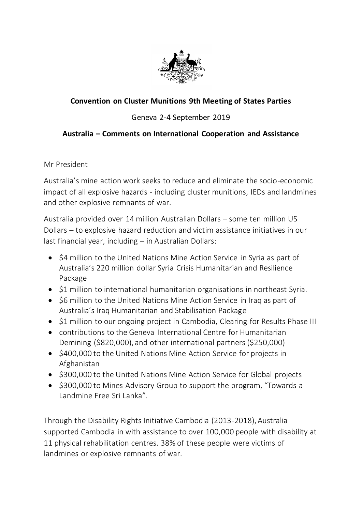

## **Convention on Cluster Munitions 9th Meeting of States Parties**

## Geneva 2-4 September 2019

## **Australia – Comments on International Cooperation and Assistance**

Mr President

Australia's mine action work seeks to reduce and eliminate the socio-economic impact of all explosive hazards - including cluster munitions, IEDs and landmines and other explosive remnants of war.

Australia provided over 14 million Australian Dollars – some ten million US Dollars – to explosive hazard reduction and victim assistance initiatives in our last financial year, including – in Australian Dollars:

- \$4 million to the United Nations Mine Action Service in Syria as part of Australia's 220 million dollar Syria Crisis Humanitarian and Resilience Package
- \$1 million to international humanitarian organisations in northeast Syria.
- \$6 million to the United Nations Mine Action Service in Iraq as part of Australia's Iraq Humanitarian and Stabilisation Package
- \$1 million to our ongoing project in Cambodia, Clearing for Results Phase III
- contributions to the Geneva International Centre for Humanitarian Demining (\$820,000), and other international partners (\$250,000)
- \$400,000 to the United Nations Mine Action Service for projects in Afghanistan
- \$300,000 to the United Nations Mine Action Service for Global projects
- \$300,000 to Mines Advisory Group to support the program, "Towards a Landmine Free Sri Lanka".

Through the Disability Rights Initiative Cambodia (2013-2018), Australia supported Cambodia in with assistance to over 100,000 people with disability at 11 physical rehabilitation centres. 38% of these people were victims of landmines or explosive remnants of war.